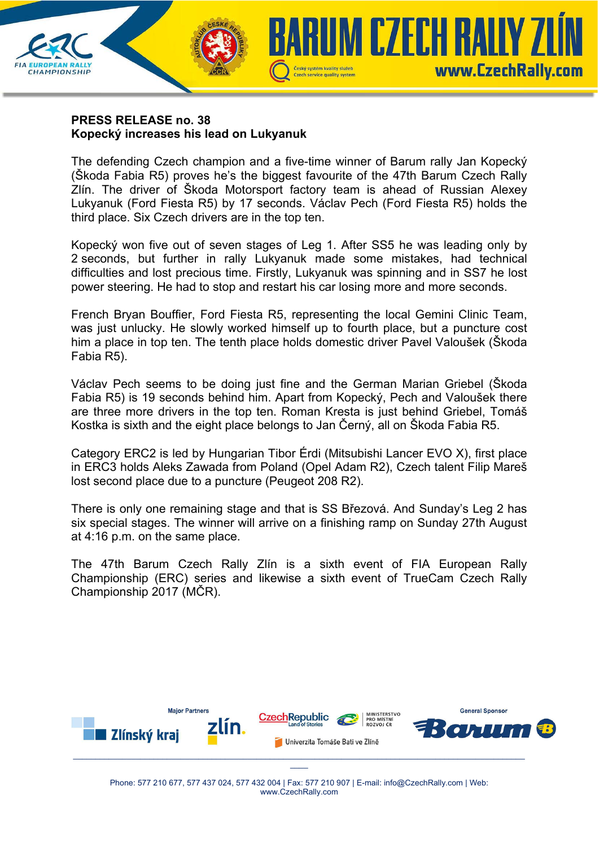

## **PRESS RELEASE no. 38 Kopecký increases his lead on Lukyanuk**

The defending Czech champion and a five-time winner of Barum rally Jan Kopecký (Škoda Fabia R5) proves he's the biggest favourite of the 47th Barum Czech Rally Zlín. The driver of Škoda Motorsport factory team is ahead of Russian Alexey Lukyanuk (Ford Fiesta R5) by 17 seconds. Václav Pech (Ford Fiesta R5) holds the third place. Six Czech drivers are in the top ten.

Kopecký won five out of seven stages of Leg 1. After SS5 he was leading only by 2 seconds, but further in rally Lukyanuk made some mistakes, had technical difficulties and lost precious time. Firstly, Lukyanuk was spinning and in SS7 he lost power steering. He had to stop and restart his car losing more and more seconds.

French Bryan Bouffier, Ford Fiesta R5, representing the local Gemini Clinic Team, was just unlucky. He slowly worked himself up to fourth place, but a puncture cost him a place in top ten. The tenth place holds domestic driver Pavel Valoušek (Škoda Fabia R5).

Václav Pech seems to be doing just fine and the German Marian Griebel (Škoda Fabia R5) is 19 seconds behind him. Apart from Kopecký, Pech and Valoušek there are three more drivers in the top ten. Roman Kresta is just behind Griebel, Tomáš Kostka is sixth and the eight place belongs to Jan Černý, all on Škoda Fabia R5.

Category ERC2 is led by Hungarian Tibor Érdi (Mitsubishi Lancer EVO X), first place in ERC3 holds Aleks Zawada from Poland (Opel Adam R2), Czech talent Filip Mareš lost second place due to a puncture (Peugeot 208 R2).

There is only one remaining stage and that is SS Březová. And Sunday's Leg 2 has six special stages. The winner will arrive on a finishing ramp on Sunday 27th August at 4:16 p.m. on the same place.

The 47th Barum Czech Rally Zlín is a sixth event of FIA European Rally Championship (ERC) series and likewise a sixth event of TrueCam Czech Rally Championship 2017 (MČR).



 $\mathcal{L}$